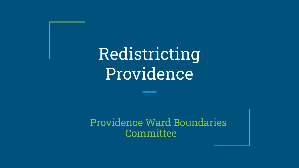# Redistricting Providence

Providence Ward Boundaries **Committee**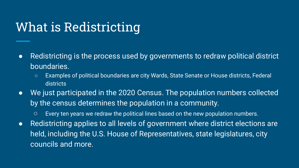### What is Redistricting

- Redistricting is the process used by governments to redraw political district boundaries.
	- Examples of political boundaries are city Wards, State Senate or House districts, Federal districts
- We just participated in the 2020 Census. The population numbers collected by the census determines the population in a community.
	- Every ten years we redraw the political lines based on the new population numbers.
- Redistricting applies to all levels of government where district elections are held, including the U.S. House of Representatives, state legislatures, city councils and more.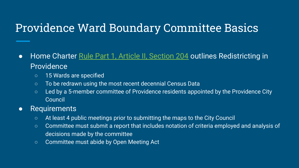### Providence Ward Boundary Committee Basics

- Home Charter [Rule Part 1, Article II, Section 204](https://library.municode.com/ri/providence/codes/code_of_ordinances?nodeId=PTIHORUCH_ARTIIEL_204WAWABO) outlines Redistricting in **Providence** 
	- 15 Wards are specified
	- To be redrawn using the most recent decennial Census Data
	- Led by a 5-member committee of Providence residents appointed by the Providence City Council

#### • Requirements

- At least 4 public meetings prior to submitting the maps to the City Council
- Committee must submit a report that includes notation of criteria employed and analysis of decisions made by the committee
- Committee must abide by Open Meeting Act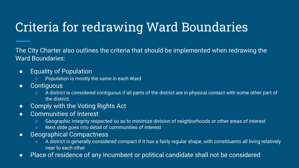## Criteria for redrawing Ward Boundaries

The City Charter also outlines the criteria that should be implemented when redrawing the Ward Boundaries:

- **Equality of Population** 
	- Population is mostly the same in each Ward
- **•** Contiguous
	- A district is considered contiguous if all parts of the district are in physical contact with some other part of the district.
- Comply with the Voting Rights Act
- Communities of Interest
	- Geographic integrity respected so as to minimize division of neighborhoods or other areas of interest
	- Next slide goes into detail of communities of interest
- Geographical Compactness
	- A district is generally considered compact if it has a fairly regular shape, with constituents all living relatively near to each other
- Place of residence of any incumbent or political candidate shall not be considered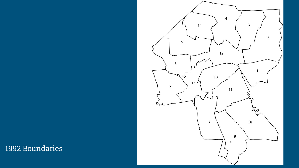#### 1992 Boundaries

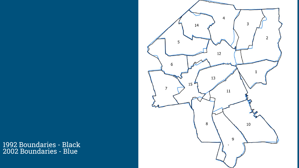1992 Boundaries - Black 2002 Boundaries - Blue

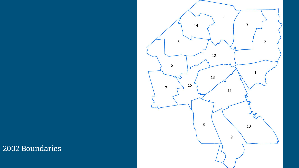#### 2002 Boundaries

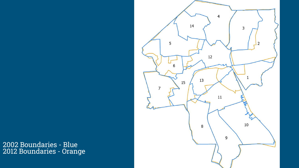2002 Boundaries - Blue 2012 Boundaries - Orange

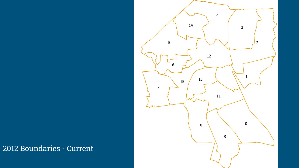#### 2012 Boundaries - Current

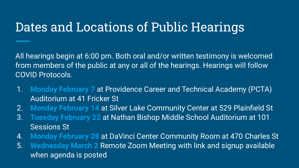### Dates and Locations of Public Hearings

All hearings begin at 6:00 pm. Both oral and/or written testimony is welcomed from members of the public at any or all of the hearings. Hearings will follow COVID Protocols.

- 1. **Monday February 7** at Providence Career and Technical Academy (PCTA) Auditorium at 41 Fricker St
- 2. **Monday February 14** at Silver Lake Community Center at 529 Plainfield St
- 3. **Tuesday February 22** at Nathan Bishop Middle School Auditorium at 101 Sessions St
- 4. **Monday February 28** at DaVinci Center Community Room at 470 Charles St
- 5. **Wednesday March 2** Remote Zoom Meeting with link and signup available when agenda is posted